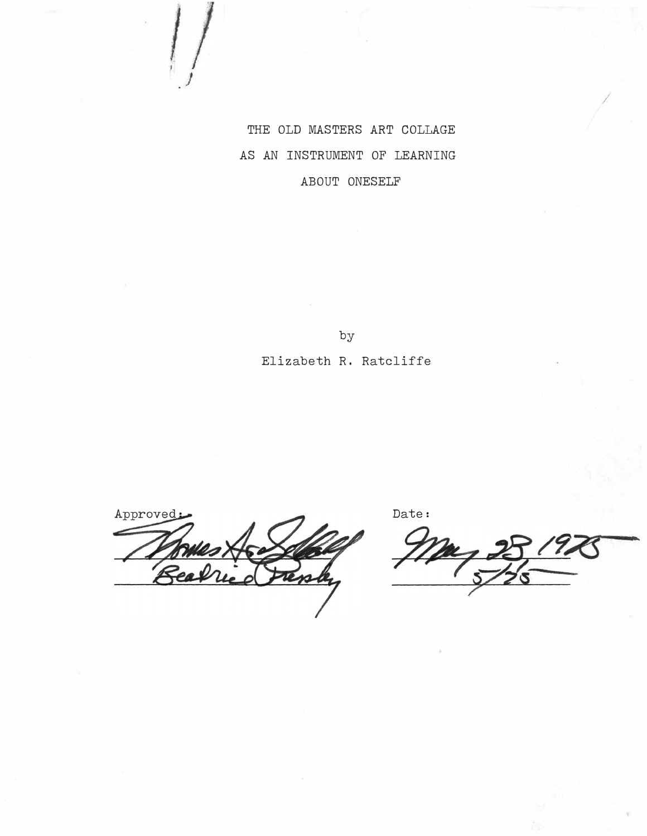THE OLD MASTERS ART COLLAGE AS AN INSTRUMENT OF LEARNING ABOUT ONESELF

by

# Elizabeth R. Ratcliffe

Approved

Date:

..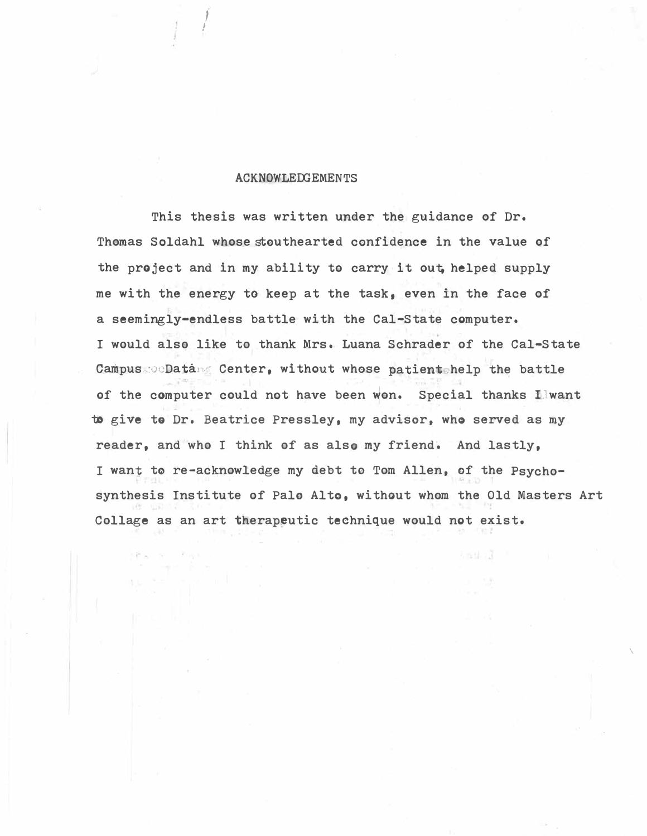### **ACKNOWLEDGEMENTS**

/

This thesis was written under the guidance of Dr. Thomas Soldahl whose stouthearted confidence in the value of the project and in my ability to carry it out helped supply me with the energy to keep at the task, even in the face of a seemingly-endless battle with the Cal-State computer. I would also like to thank Mrs. Luana Schrader of the Cal-State Campus ... Data. Center, without whose patient help the battle of the computer could not have been won. Special thanks Ilwant to give to Dr. Beatrice Pressley, my advisor, who served as my reader, and who I think of as also my friend. And lastly, I want to re-acknowledge my debt to Tom Allen, of the Psychosynthesis Institute of Palo Alto, without whom the Old Masters Art Collage as an art therapeutic technique would not exist.

 $\overline{\phantom{a}}$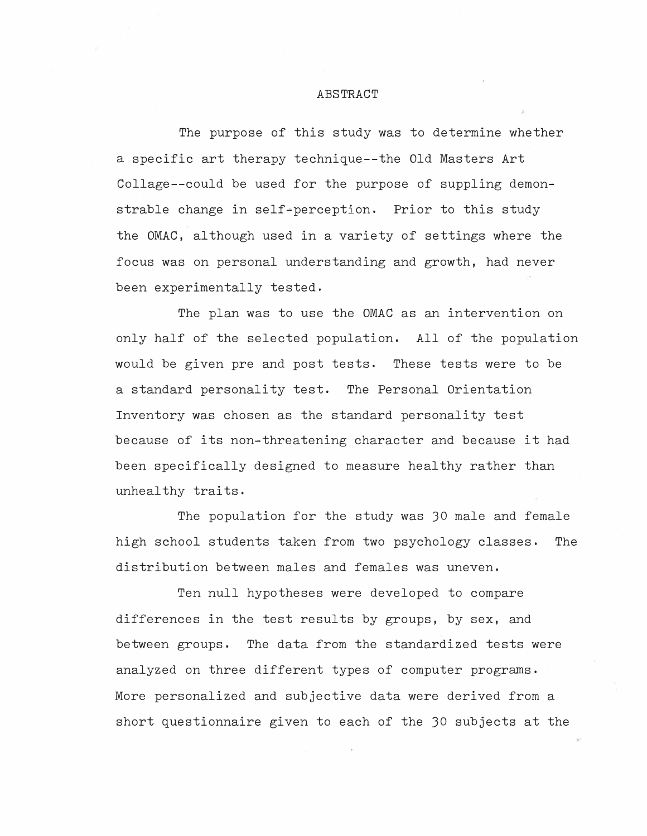# ABSTRACT

The purpose of this study was to determine whether a specific art therapy technique--the Old Masters Art Collage--could be used for the purpose of suppling demonstrable change in self-perception. Prior to this study the OMAC, although used in a variety of settings where the focus was on personal understanding and growth, had never been experimentally tested,

The plan was to use the OMAC as an intervention on only half of the selected population. All of the population would be given pre and post tests. These tests were to be a standard personality test. The Personal Orientation Inventory was chosen as the standard personality test because of its non-threatening character and because it had been specifically designed to measure healthy rather than unhealthy traits.

The population for the study was JO male and female high school students taken from two psychology classes, The distribution between males and females was uneven.

Ten null hypotheses were developed to compare differences in the test results by groups, by sex, and between groups. The data from the standardized tests were analyzed on three different types of computer programs, More personalized and subjective data were derived from a short questionnaire given to each of the JO subjects at the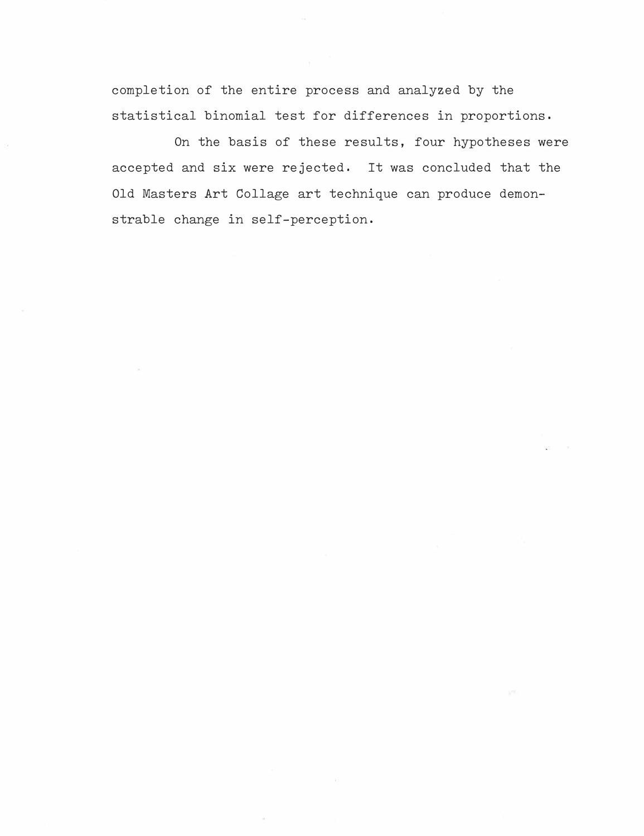completion of the entire process and analyzed by the statistical binomial test for differences in proportions,

On the basis of these results, four hypotheses were accepted and six were rejected, It was concluded that the Old Masters Art Collage art technique can produce demonstrable change in self-perception.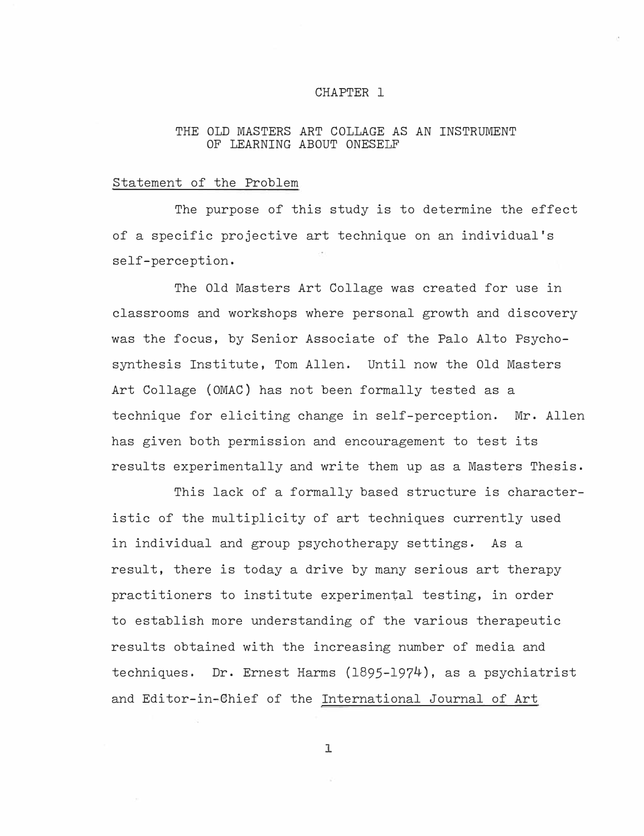### CHAPTER 1

# THE OLD MASTERS ART COLLAGE AS AN INSTRUMENT OF LEARNING ABOUT ONESELF

# Statement of the Problem

The purpose of this study is to determine the effect of a specific projective art technique on an individual's self-perception.

The Old Masters Art Collage was created for use in classrooms and workshops where personal growth and discovery was the focus, by Senior Associate of the Palo Alto Psychosynthesis Institute, Tom Allen. Until now the Old Masters Art Collage (OMAC) has not been formally tested as a technique for eliciting change in self-perception. Mr. Allen has given both permission and encouragement to test its results experimentally and write them up as a Masters Thesis.

This lack of a formally based structure is characteristic of the multiplicity of art techniques currently used in individual and group psychotherapy settings. As a result, there is today a drive by many serious art therapy practitioners to institute experimental testing, in order to establish more understanding of the various therapeutic results obtained with the increasing number of media and techniques. Dr. Ernest Harms (1895-1974), as a psychiatrist and Editor-in-Chief of the International Journal of Art

l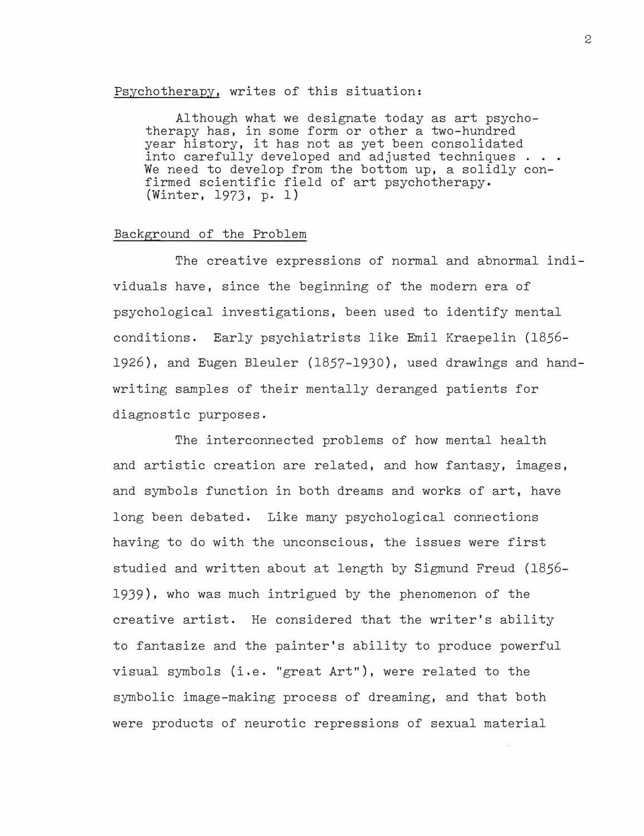### Psychotherapy, writes of this situation:

Although what we designate today as art psychotherapy has, in some form or other a two-hundred year history, it has not as yet been consolidated into carefully developed and adjusted techniques . . . We need to develop from the bottom up, a solidly confirmed scientific field of art psychotherapy. (Winter, 1973, p. 1)

# Background of the Problem

The creative expressions of normal and abnormal individuals have, since the beginning of the modern era of psychological investigations, been used to identify mental conditions. Early psychiatrists like Emil Kraepelin (1856- 1926), and Eugen Bleuler (1857-1930), used drawings and handwriting samples of their mentally deranged patients for diagnostic purposes.

The interconnected problems of how mental health and artistic creation are related, and how fantasy, images, and symbols function in both dreams and works of art, have long been debated. Like many psychological connections having to do with the unconscious, the issues were first studied and written about at length by Sigmund Freud (1856- 1939), who was much intrigued by the phenomenon of the creative artist. He considered that the writer's ability to fantasize and the painter's ability to produce powerful visual symbols (i.e. "great  $Art$ "), were related to the symbolic image-making process of dreaming, and that both were products of neurotic repressions of sexual material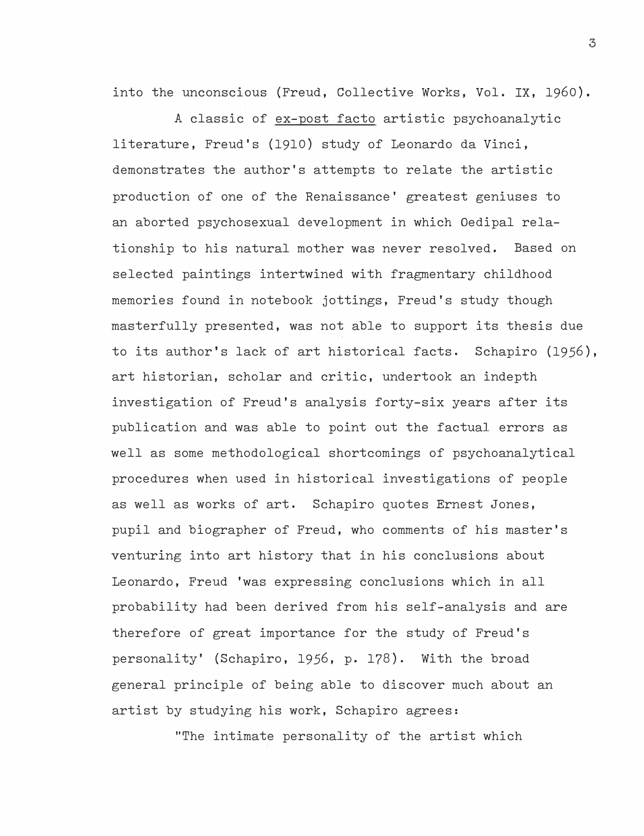into the unconscious (Freud, Collective Works, Vol. IX, 1960).

A classic of ex-post facto artistic psychoanalytic literature, Freud's (1910) study of Leonardo da Vinci, demonstrates the author's attempts to relate the artistic production of one of the Renaissance' greatest geniuses to an aborted psychosexual development in which Oedipal relationship to his natural mother was never resolved. Based on selected paintings intertwined with fragmentary childhood memories found in notebook jottings, Freud's study though masterfully presented, was not able to support its thesis due to its author's lack of art historical facts. Schapiro (1956), art historian, scholar and critic, undertook an indepth investigation of Freud's analysis forty-six years after its publication and was able to point out the factual errors as well as some methodological shortcomings of psychoanalytical procedures when used in historical investigations of people as well as works of art. Schapiro quotes Ernest Jones, pupil and biographer of Freud, who comments of his master's venturing into art history that in his conclusions about Leonardo, Freud 'was expressing conclusions which in all probability had been derived from his self-analysis and are therefore of great importance for the study of Freud's personality' (Schapiro, 1956, p. 178). With the broad general principle of being able to discover much about an artist by studying his work, Schapiro agrees:

"The intimate personality of the artist which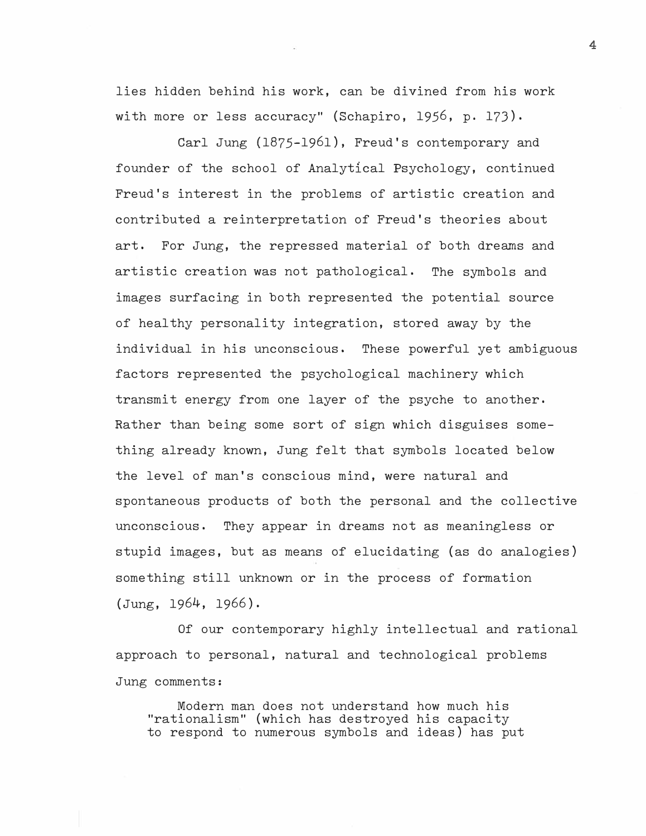lies hidden behind his work, can be divined from his work with more or less accuracy" (Schapiro, 1956, p. 173).

Carl Jung (1875-1961), Freud's contemporary and founder of the school of Analytical Psychology, continued Freud's interest in the problems of artistic creation and contributed a reinterpretation of Freud's theories about art. For Jung, the repressed material of both dreams and artistic creation was not pathological. The symbols and images surfacing in both represented the potential source of healthy personality integration, stored away by the individual in his unconscious. These powerful yet ambiguous factors represented the psychological machinery which transmit energy from one layer of the psyche to another, Rather than being some sort of sign which disguises something already known, Jung felt that symbols located below the level of man's conscious mind, were natural and spontaneous products of both the personal and the collective unconscious. They appear in dreams not as meaningless or stupid images, but as means of elucidating (as do analogies) something still unknown or in the process of formation (Jung, 1964, 1966).

Of our contemporary highly intellectual and rational approach to personal, natural and technological problems Jung comments:

Modern man does not understand how much his "rationalism" (which has destroyed his capacity to respond to numerous symbols and ideas) has put **4**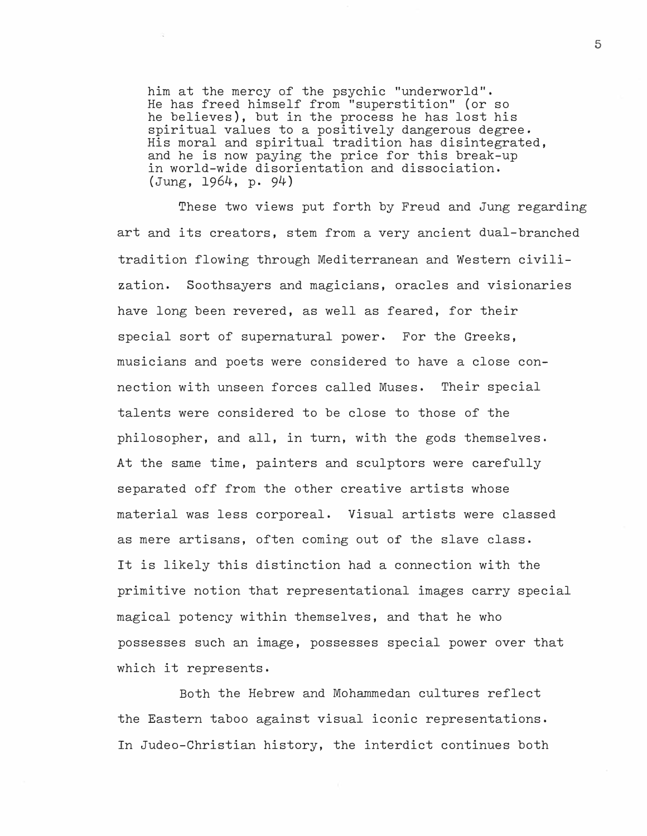him at the mercy of the psychic "underworld". He has freed himself from "superstition" (or so he believes), but in the process he has lost his spiritual values to a positively dangerous degree. His moral and spiritual tradition has disintegrated, and he is now paying the price for this break-up in world-wide disorientation and dissociation. (Jung, 1964, p. 94)

These two views put forth by Freud and Jung regarding art and its creators, stem from a very ancient dual-branched tradition flowing through Mediterranean and Western civilization. Soothsayers and magicians, oracles and visionaries have long been revered, as well as feared, for their special sort of supernatural power. For the Greeks, musicians and poets were considered to have a close connection with unseen forces called Muses. Their special talents were considered to be close to those of the philosopher, and all, in turn, with the gods themselves. At the same time, painters and sculptors were carefully separated off from the other creative artists whose material was less corporeal. Visual artists were classed as mere artisans, often coming out of the slave class. It is likely this distinction had a connection with the primitive notion that representational images carry special magical potency within themselves, and that he who possesses such an image, possesses special power over that which it represents.

Both the Hebrew and Mohammedan cultures reflect the Eastern taboo against visual iconic representations. In Judeo-Christian history, the interdict continues both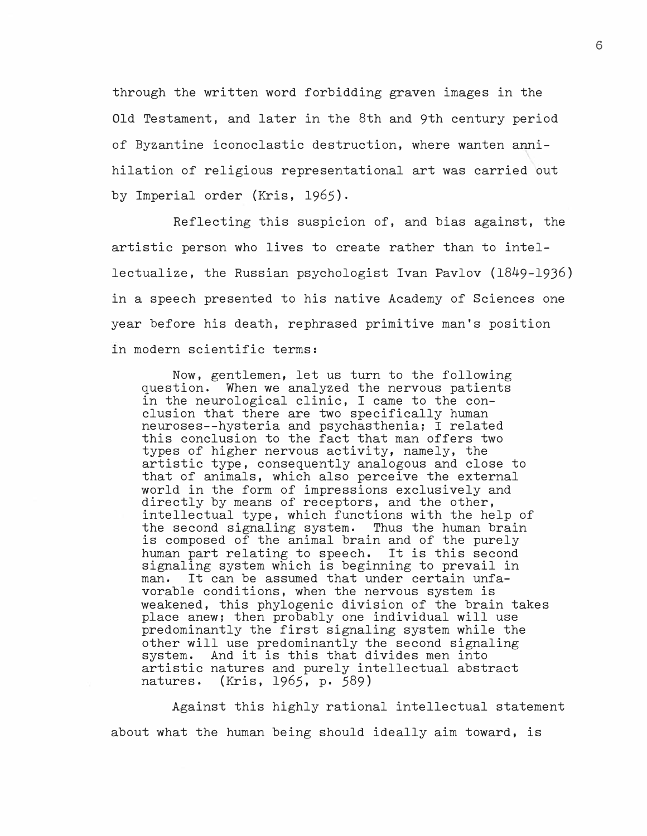through the written word forbidding graven images in the Old Testament, and later in the 8th and 9th century period of Byzantine iconoclastic destruction, where wanten a�nihilation of religious representational art was carried out by Imperial order (Kris, 1965).

Reflecting this suspicion of, and bias against, the artistic person who lives to create rather than to intellectualize, the Russian psychologist Ivan Pavlov (1849-1936) in a speech presented to his native Academy of Sciences one year before his death, rephrased primitive man's position in modern scientific terms:

Now, gentlemen, let us turn to the following question. When we analyzed the nervous patients in the neurological clinic, I came to the conclusion that there are two specifically human neuroses--hysteria and psychasthenia; I related this conclusion to the fact that man offers two types of higher nervous activity, namely, the artistic type, consequently analogous and close to that of animals, which also perceive the external world in the form of impressions exclusively and directly by means of receptors, and the other, intellectual type, which functions with the help of the second signaling system, Thus the human brain is composed of the animal brain and of the purely human part relating to speech, It is this second signaling system which is beginning to prevail in man. It can be assumed that under certain unfa-It can be assumed that under certain unfavorable conditions, when the nervous system is weakened, this phylogenic division of the brain takes place anew; then probably one individual will use predominantly the first signaling system while the other will use predominantly the second signaling system. And it is this that divides men into artistic natures and purely intellectual abstract natures, (Kris, 1965, p. 589)

Against this highly rational intellectual statement about what the human being should ideally aim toward, is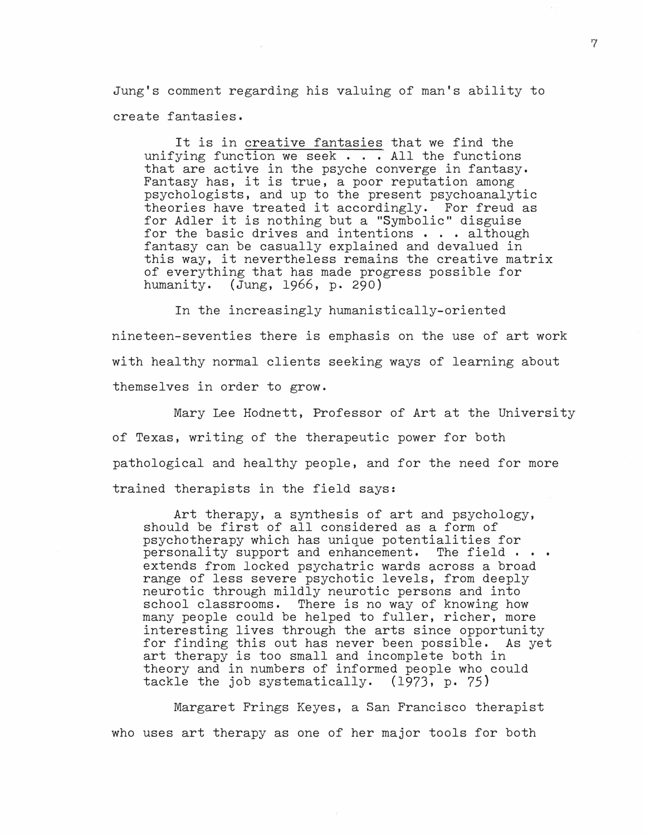Jung's comment regarding his valuing of man's ability to create fantasies.

It is in creative fantasies that we find the unifying function we seek . . . All the functions that are active in the psyche converge in fantasy. Fantasy has, it is true, a poor reputation among psychologists, and up to the present psychoanalytic theories have treated it accordingly. For freud as for Adler it is nothing but a "Symbolic" disguise for the basic drives and intentions . . . although fantasy can be casually explained and devalued in this way, it nevertheless remains the creative matrix of everything that has made progress possible for humanity. (Jung, 1966, p. 290)

In the increasingly humanistically-oriented nineteen-seventies there is emphasis on the use of art work with healthy normal clients seeking ways of learning about themselves in order to grow.

Mary Lee Hodnett, Professor of Art at the University of Texas, writing of the therapeutic power for both pathological and healthy people, and for the need for more trained therapists in the field says:

Art therapy, a synthesis of art and psychology, should be first of all considered as a form of psychotherapy which has unique potentialities for personality support and enhancement. The field  $\cdots$ extends from locked psychatric wards across a broad range of less severe psychotic levels, from deeply neurotic through mildly neurotic persons and into school classrooms. There is no way of knowing how many people could be helped to fuller, richer, more interesting lives through the arts since opportunity for finding this out has never been possible. As yet art therapy is too small and incomplete both in theory and in numbers of informed people who could tackle the job systematically. (1973, p. 75)

Margaret Frings Keyes, a San Francisco therapist who uses art therapy as one of her major tools for both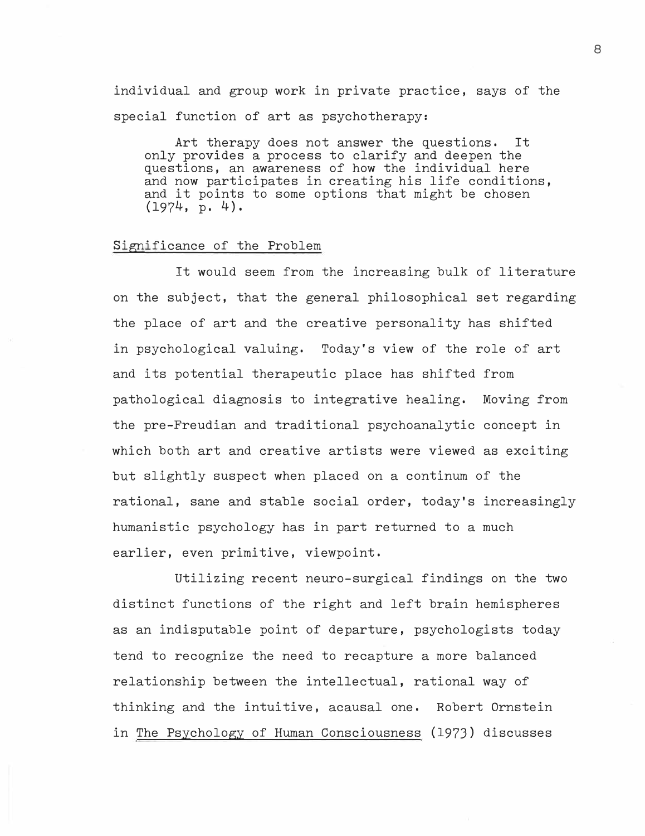individual and group work in private practice, says of the special function of art as psychotherapy:

Art therapy does not answer the questions. It only provides a process to clarify and deepen the questions, an awareness of how the individual here and now participates in creating his life conditions, and it points to some options that might be chosen (1974, p. 4).

### Significance of the Problem

It would seem from the increasing bulk of literature on the subject, that the general philosophical set regarding the place of art and the creative personality has shifted in psychological valuing. Today's view of the role of art and its potential therapeutic place has shifted from pathological diagnosis to integrative healing. Moving from the pre-Freudian and traditional psychoanalytic concept in which both art and creative artists were viewed as exciting but slightly suspect when placed on a continum of the rational, sane and stable social order, today's increasingly humanistic psychology has in part returned to a much earlier, even primitive, viewpoint.

Utilizing recent neuro-surgical findings on the two distinct functions of the right and left brain hemispheres as an indisputable point of departure, psychologists today tend to recognize the need to recapture a more balanced relationship between the intellectual, rational way of thinking and the intuitive, acausal one. Robert Ornstein in The Psychology of Human Consciousness (1973) discusses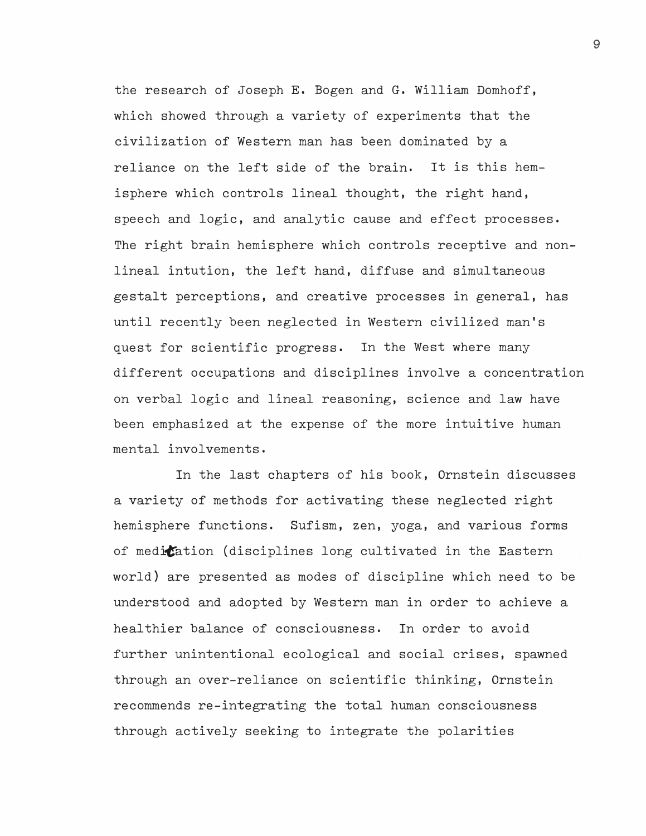the research of Joseph E. Bogen and G. William Domhoff, which showed through a variety of experiments that the civilization of Western man has been dominated by a reliance on the left side of the brain. It is this hemisphere which controls lineal thought, the right hand, speech and logic, and analytic cause and effect processes. The right brain hemisphere which controls receptive and nonlineal intution, the left hand, diffuse and simultaneous gestalt perceptions, and creative processes in general, has until recently been neglected in Western civilized man's quest for scientific progress. In the West where many different occupations and disciplines involve a concentration on verbal logic and lineal reasoning, science and law have been emphasized at the expense of the more intuitive human mental involvements.

In the last chapters of his book, Ornstein discusses a variety of methods for activating these neglected right hemisphere functions. Sufism, zen, yoga, and various forms of medication (disciplines long cultivated in the Eastern world) are presented as modes of discipline which need to be understood and adopted by Western man in order to achieve a healthier balance of consciousness. In order to avoid further unintentional ecological and social crises, spawned through an over-reliance on scientific thinking, Ornstein recommends re-integrating the total human consciousness through actively seeking to integrate the polarities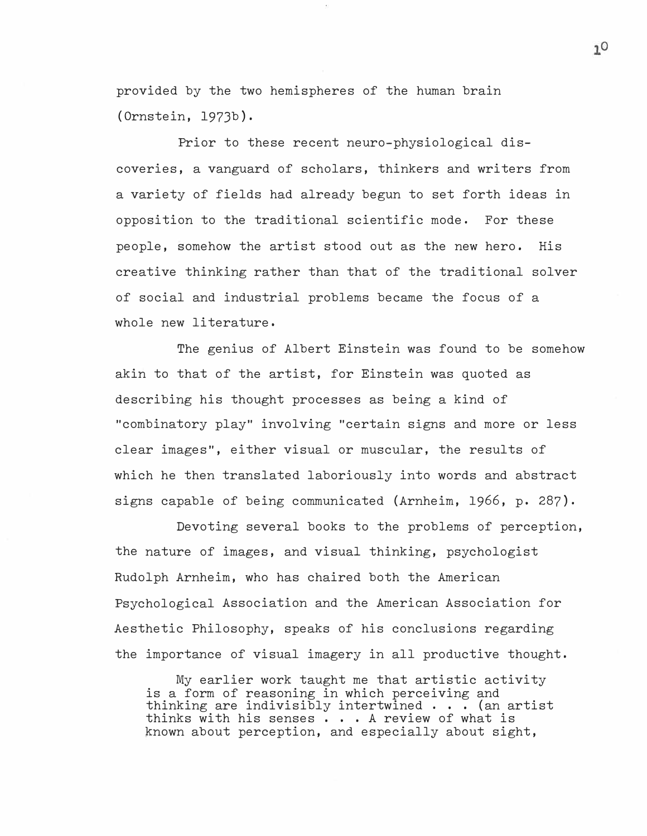provided by the two hemispheres of the human brain (Ornstein, 197Jb).

Prior to these recent neuro-physiological discoveries, a vanguard of scholars, thinkers and writers from a variety of fields had already begun to set forth ideas in opposition to the traditional scientific mode. For these people, somehow the artist stood out as the new hero. His creative thinking rather than that of the traditional solver of social and industrial problems became the focus of a whole new literature.

The genius of Albert Einstein was found to be somehow akin to that of the artist, for Einstein was quoted as describing his thought processes as being a kind of "combinatory play" involving "certain signs and more or less clear images", either visual or muscular, the results of which he then translated laboriously into words and abstract signs capable of being communicated (Arnheim, 1966, p. 287).

Devoting several books to the problems of perception, the nature of images, and visual thinking, psychologist Rudolph Arnheim, who has chaired both the American Psychological Association and the American Association for Aesthetic Philosophy, speaks of his conclusions regarding the importance of visual imagery in all productive thought.

My earlier work taught me that artistic activity is a form of reasoning in which perceiving and thinking are indivisibly intertwined ... (an artist thinks with his senses ... A review of what is known about perception, and especially about sight,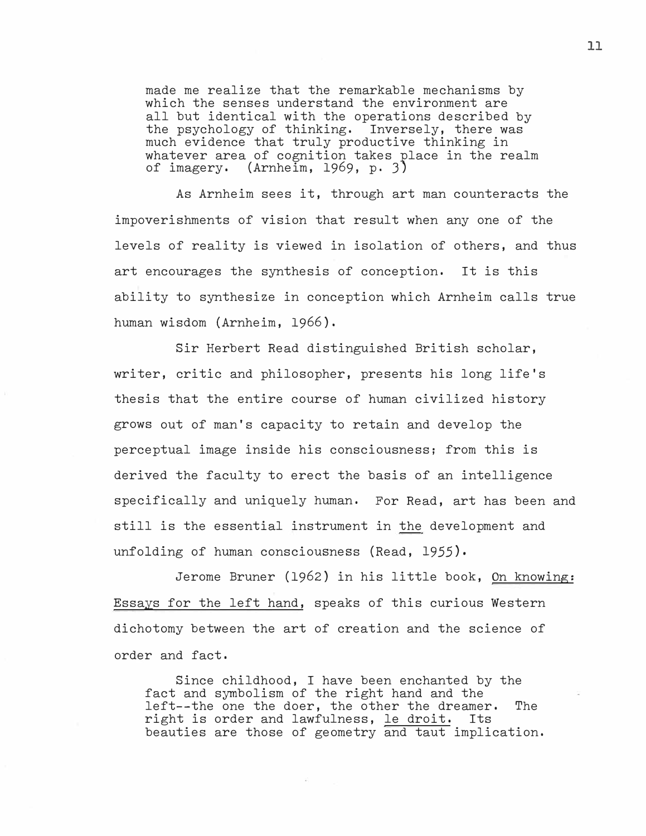made me realize that the remarkable mechanisms by which the senses understand the environment are all but identical with the operations described by the psychology of thinking. Inversely, there was much evidence that truly productive thinking in whatever area of cognition takes place in the realm of imagery, (Arnheim, 1969, p. 3)

As Arnheim sees it, through art man counteracts the impoverishments of vision that result when any one of the levels of reality is viewed in isolation of others, and thus art encourages the synthesis of conception, It is this ability to synthesize in conception which Arnheim calls true human wisdom (Arnheim, 1966).

Sir Herbert Read distinguished British scholar, writer, critic and philosopher, presents his long life's thesis that the entire course of human civilized history grows out of man's capacity to retain and develop the perceptual image inside his consciousness; from this is derived the faculty to erect the basis of an intelligence specifically and uniquely human, For Read, art has been and still is the essential instrument in the development and unfolding of human consciousness (Read, *1955).* 

Jerome Bruner (1962) in his little book, On knowing: Essays for the left hand, speaks of this curious Western dichotomy between the art of creation and the science of order and fact,

Since childhood, I have been enchanted by the fact and symbolism of the right hand and the left--the one the doer, the other the dreamer. The right is order and lawfulness. le droit. Its right is order and lawfulness, le droit. beauties are those of geometry and taut implication.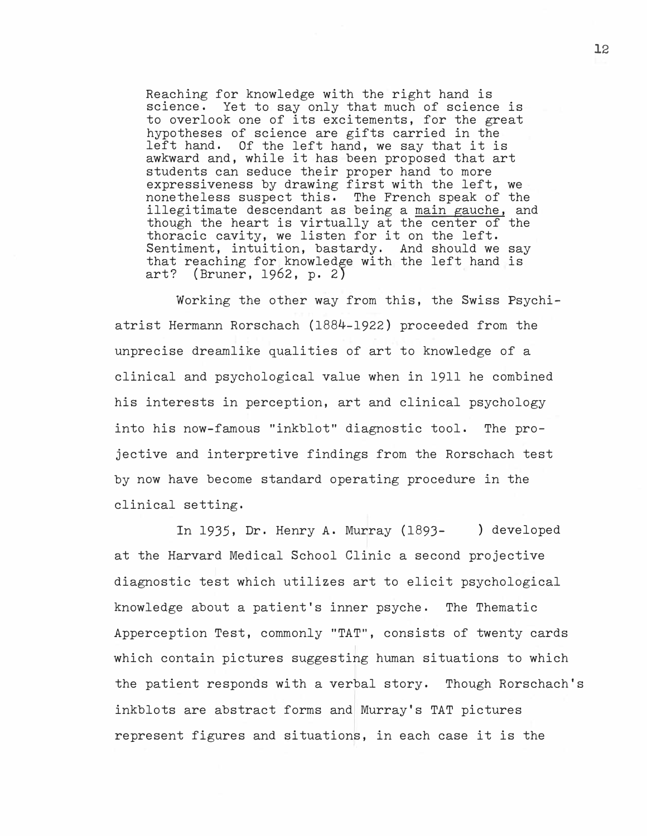Reaching for knowledge with the right hand is science. Yet to say only that much of science is to overlook one of its excitements, for the great hypotheses of science are gifts carried in the left hand, we say that it is Of the left hand, we say that it is awkward and, while it has been proposed that art students can seduce their proper hand to more expressiveness by drawing first with the left, we nonetheless suspect this, The French speak of the illegitimate descendant as being a main gauche, and though the heart is virtually at the center of the thoracic cavity, we listen for it on the left. Sentiment, intuition, bastardy, And should we say that reaching for knowledge with the left hand is art? (Bruner, 1962, p. *2)* 

Working the other way from this, the Swiss Psychiatrist Hermann Rorschach (1884-1922) proceeded from the unprecise dreamlike qualities of art to knowledge of a clinical and psychological value when in 1911 he combined his interests in perception, art and clinical psychology into his now-famous "inkblot" diagnostic tool, The projective and interpretive findings from the Rorschach test by now have become standard operating procedure in the clinical setting.

In 1935, Dr. Henry A, Murray (1893- ) developed at the Harvard Medical School Clinic a second projective diagnostic test which utilizes art to elicit psychological knowledge about a patient's inner psyche, The Thematic Apperception Test, commonly "TAT", consists of twenty cards which contain pictures suggesting human situations to which the patient responds with a verbal story. Though Rorschach's inkblots are abstract forms and Murray's TAT pictures represent figures and situations, in each case it is the